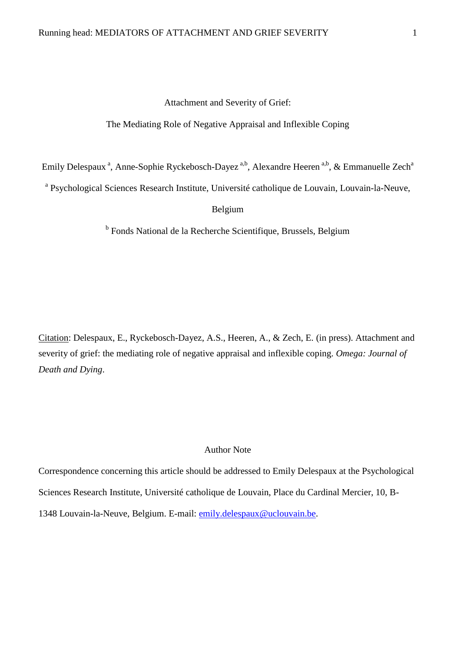### Attachment and Severity of Grief:

# The Mediating Role of Negative Appraisal and Inflexible Coping

Emily Delespaux<sup>a</sup>, Anne-Sophie Ryckebosch-Dayez<sup>a,b</sup>, Alexandre Heeren<sup>a,b</sup>, & Emmanuelle Zech<sup>a</sup>

<sup>a</sup> Psychological Sciences Research Institute, Université catholique de Louvain, Louvain-la-Neuve,

Belgium

<sup>b</sup> Fonds National de la Recherche Scientifique, Brussels, Belgium

Citation: Delespaux, E., Ryckebosch-Dayez, A.S., Heeren, A., & Zech, E. (in press). Attachment and severity of grief: the mediating role of negative appraisal and inflexible coping. *Omega: Journal of Death and Dying*.

### Author Note

Correspondence concerning this article should be addressed to Emily Delespaux at the Psychological Sciences Research Institute, Université catholique de Louvain, Place du Cardinal Mercier, 10, B-1348 Louvain-la-Neuve, Belgium. E-mail: [emily.delespaux@uclouvain.be.](mailto:emily.delespaux@uclouvain.be)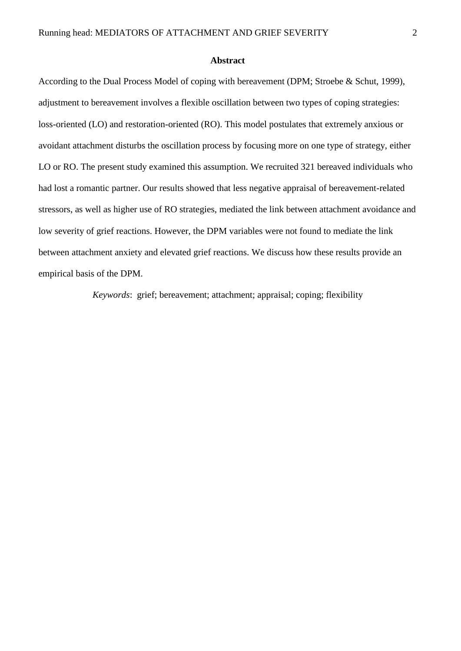### **Abstract**

According to the Dual Process Model of coping with bereavement (DPM; Stroebe & Schut, 1999), adjustment to bereavement involves a flexible oscillation between two types of coping strategies: loss-oriented (LO) and restoration-oriented (RO). This model postulates that extremely anxious or avoidant attachment disturbs the oscillation process by focusing more on one type of strategy, either LO or RO. The present study examined this assumption. We recruited 321 bereaved individuals who had lost a romantic partner. Our results showed that less negative appraisal of bereavement-related stressors, as well as higher use of RO strategies, mediated the link between attachment avoidance and low severity of grief reactions. However, the DPM variables were not found to mediate the link between attachment anxiety and elevated grief reactions. We discuss how these results provide an empirical basis of the DPM.

*Keywords*: grief; bereavement; attachment; appraisal; coping; flexibility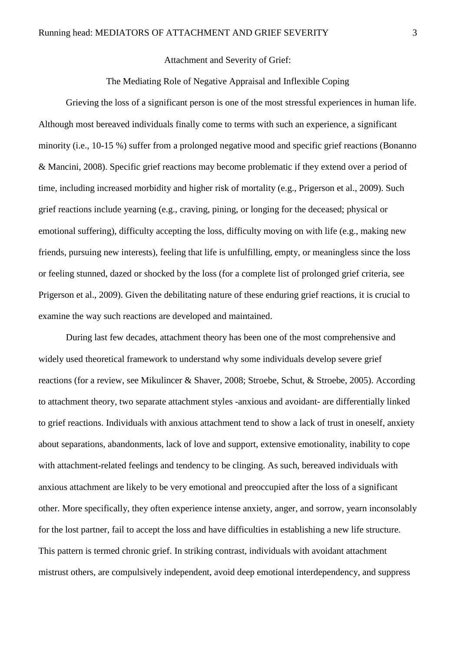Attachment and Severity of Grief:

## The Mediating Role of Negative Appraisal and Inflexible Coping

Grieving the loss of a significant person is one of the most stressful experiences in human life. Although most bereaved individuals finally come to terms with such an experience, a significant minority (i.e., 10-15 %) suffer from a prolonged negative mood and specific grief reactions (Bonanno & Mancini, 2008). Specific grief reactions may become problematic if they extend over a period of time, including increased morbidity and higher risk of mortality (e.g., Prigerson et al., 2009). Such grief reactions include yearning (e.g., craving, pining, or longing for the deceased; physical or emotional suffering), difficulty accepting the loss, difficulty moving on with life (e.g., making new friends, pursuing new interests), feeling that life is unfulfilling, empty, or meaningless since the loss or feeling stunned, dazed or shocked by the loss (for a complete list of prolonged grief criteria, see Prigerson et al., 2009). Given the debilitating nature of these enduring grief reactions, it is crucial to examine the way such reactions are developed and maintained.

During last few decades, attachment theory has been one of the most comprehensive and widely used theoretical framework to understand why some individuals develop severe grief reactions (for a review, see Mikulincer & Shaver, 2008; Stroebe, Schut, & Stroebe, 2005). According to attachment theory, two separate attachment styles -anxious and avoidant- are differentially linked to grief reactions. Individuals with anxious attachment tend to show a lack of trust in oneself, anxiety about separations, abandonments, lack of love and support, extensive emotionality, inability to cope with attachment-related feelings and tendency to be clinging. As such, bereaved individuals with anxious attachment are likely to be very emotional and preoccupied after the loss of a significant other. More specifically, they often experience intense anxiety, anger, and sorrow, yearn inconsolably for the lost partner, fail to accept the loss and have difficulties in establishing a new life structure. This pattern is termed chronic grief. In striking contrast, individuals with avoidant attachment mistrust others, are compulsively independent, avoid deep emotional interdependency, and suppress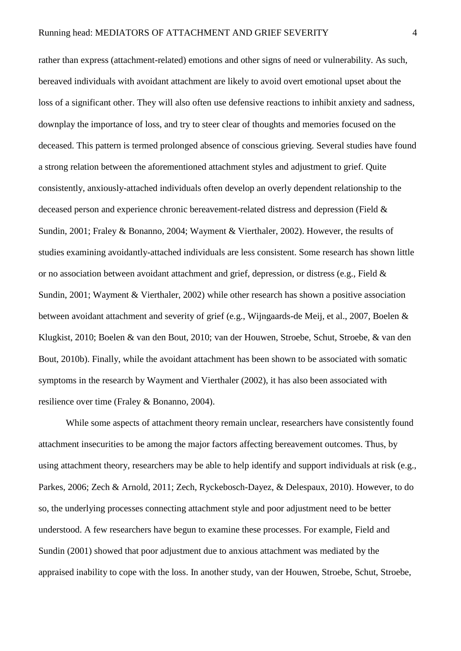rather than express (attachment-related) emotions and other signs of need or vulnerability. As such, bereaved individuals with avoidant attachment are likely to avoid overt emotional upset about the loss of a significant other. They will also often use defensive reactions to inhibit anxiety and sadness, downplay the importance of loss, and try to steer clear of thoughts and memories focused on the deceased. This pattern is termed prolonged absence of conscious grieving. Several studies have found a strong relation between the aforementioned attachment styles and adjustment to grief. Quite consistently, anxiously-attached individuals often develop an overly dependent relationship to the deceased person and experience chronic bereavement-related distress and depression (Field & Sundin, 2001; Fraley & Bonanno, 2004; Wayment & Vierthaler, 2002). However, the results of studies examining avoidantly-attached individuals are less consistent. Some research has shown little or no association between avoidant attachment and grief, depression, or distress (e.g., Field  $\&$ Sundin, 2001; Wayment & Vierthaler, 2002) while other research has shown a positive association between avoidant attachment and severity of grief (e.g., Wijngaards-de Meij, et al., 2007, Boelen & Klugkist, 2010; Boelen & van den Bout, 2010; van der Houwen, Stroebe, Schut, Stroebe, & van den Bout, 2010b). Finally, while the avoidant attachment has been shown to be associated with somatic symptoms in the research by Wayment and Vierthaler (2002), it has also been associated with resilience over time (Fraley & Bonanno, 2004).

While some aspects of attachment theory remain unclear, researchers have consistently found attachment insecurities to be among the major factors affecting bereavement outcomes. Thus, by using attachment theory, researchers may be able to help identify and support individuals at risk (e.g., Parkes, 2006; Zech & Arnold, 2011; Zech, Ryckebosch-Dayez, & Delespaux, 2010). However, to do so, the underlying processes connecting attachment style and poor adjustment need to be better understood. A few researchers have begun to examine these processes. For example, Field and Sundin (2001) showed that poor adjustment due to anxious attachment was mediated by the appraised inability to cope with the loss. In another study, van der Houwen, Stroebe, Schut, Stroebe,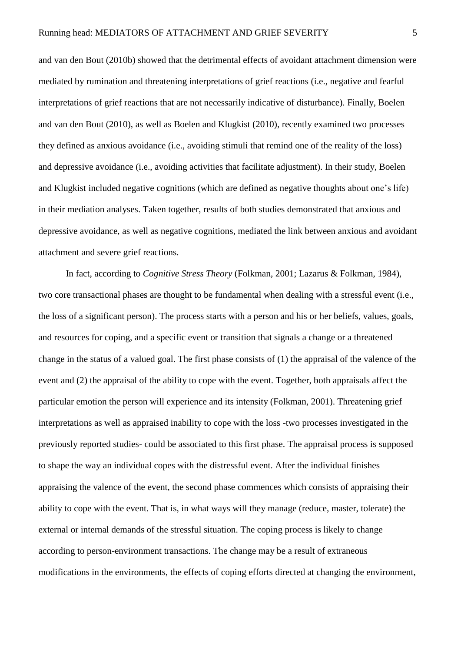and van den Bout (2010b) showed that the detrimental effects of avoidant attachment dimension were mediated by rumination and threatening interpretations of grief reactions (i.e., negative and fearful interpretations of grief reactions that are not necessarily indicative of disturbance). Finally, Boelen and van den Bout (2010), as well as Boelen and Klugkist (2010), recently examined two processes they defined as anxious avoidance (i.e., avoiding stimuli that remind one of the reality of the loss) and depressive avoidance (i.e., avoiding activities that facilitate adjustment). In their study, Boelen and Klugkist included negative cognitions (which are defined as negative thoughts about one's life) in their mediation analyses. Taken together, results of both studies demonstrated that anxious and depressive avoidance, as well as negative cognitions, mediated the link between anxious and avoidant attachment and severe grief reactions.

In fact, according to *Cognitive Stress Theory* (Folkman, 2001; Lazarus & Folkman, 1984), two core transactional phases are thought to be fundamental when dealing with a stressful event (i.e., the loss of a significant person). The process starts with a person and his or her beliefs, values, goals, and resources for coping, and a specific event or transition that signals a change or a threatened change in the status of a valued goal. The first phase consists of (1) the appraisal of the valence of the event and (2) the appraisal of the ability to cope with the event. Together, both appraisals affect the particular emotion the person will experience and its intensity (Folkman, 2001). Threatening grief interpretations as well as appraised inability to cope with the loss -two processes investigated in the previously reported studies- could be associated to this first phase. The appraisal process is supposed to shape the way an individual copes with the distressful event. After the individual finishes appraising the valence of the event, the second phase commences which consists of appraising their ability to cope with the event. That is, in what ways will they manage (reduce, master, tolerate) the external or internal demands of the stressful situation. The coping process is likely to change according to person-environment transactions. The change may be a result of extraneous modifications in the environments, the effects of coping efforts directed at changing the environment,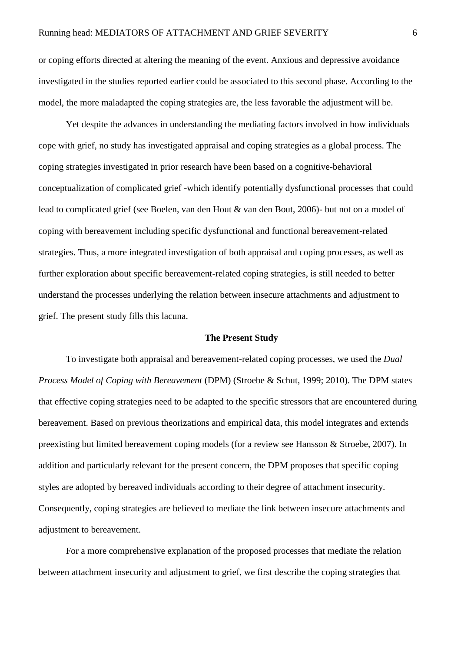or coping efforts directed at altering the meaning of the event. Anxious and depressive avoidance investigated in the studies reported earlier could be associated to this second phase. According to the model, the more maladapted the coping strategies are, the less favorable the adjustment will be.

Yet despite the advances in understanding the mediating factors involved in how individuals cope with grief, no study has investigated appraisal and coping strategies as a global process. The coping strategies investigated in prior research have been based on a cognitive-behavioral conceptualization of complicated grief -which identify potentially dysfunctional processes that could lead to complicated grief (see Boelen, van den Hout & van den Bout, 2006)- but not on a model of coping with bereavement including specific dysfunctional and functional bereavement-related strategies. Thus, a more integrated investigation of both appraisal and coping processes, as well as further exploration about specific bereavement-related coping strategies, is still needed to better understand the processes underlying the relation between insecure attachments and adjustment to grief. The present study fills this lacuna.

## **The Present Study**

To investigate both appraisal and bereavement-related coping processes, we used the *Dual Process Model of Coping with Bereavement* (DPM) (Stroebe & Schut, 1999; 2010). The DPM states that effective coping strategies need to be adapted to the specific stressors that are encountered during bereavement. Based on previous theorizations and empirical data, this model integrates and extends preexisting but limited bereavement coping models (for a review see Hansson & Stroebe, 2007). In addition and particularly relevant for the present concern, the DPM proposes that specific coping styles are adopted by bereaved individuals according to their degree of attachment insecurity. Consequently, coping strategies are believed to mediate the link between insecure attachments and adjustment to bereavement.

For a more comprehensive explanation of the proposed processes that mediate the relation between attachment insecurity and adjustment to grief, we first describe the coping strategies that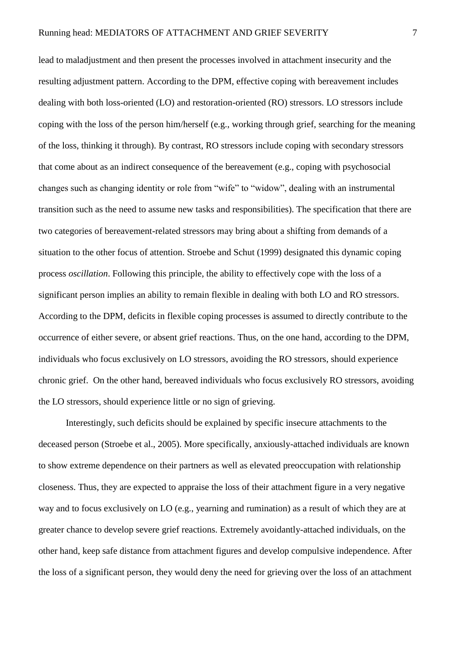lead to maladjustment and then present the processes involved in attachment insecurity and the resulting adjustment pattern. According to the DPM, effective coping with bereavement includes dealing with both loss-oriented (LO) and restoration-oriented (RO) stressors. LO stressors include coping with the loss of the person him/herself (e.g., working through grief, searching for the meaning of the loss, thinking it through). By contrast, RO stressors include coping with secondary stressors that come about as an indirect consequence of the bereavement (e.g., coping with psychosocial changes such as changing identity or role from "wife" to "widow", dealing with an instrumental transition such as the need to assume new tasks and responsibilities). The specification that there are two categories of bereavement-related stressors may bring about a shifting from demands of a situation to the other focus of attention. Stroebe and Schut (1999) designated this dynamic coping process *oscillation*. Following this principle, the ability to effectively cope with the loss of a significant person implies an ability to remain flexible in dealing with both LO and RO stressors. According to the DPM, deficits in flexible coping processes is assumed to directly contribute to the occurrence of either severe, or absent grief reactions. Thus, on the one hand, according to the DPM, individuals who focus exclusively on LO stressors, avoiding the RO stressors, should experience chronic grief. On the other hand, bereaved individuals who focus exclusively RO stressors, avoiding the LO stressors, should experience little or no sign of grieving.

Interestingly, such deficits should be explained by specific insecure attachments to the deceased person (Stroebe et al., 2005). More specifically, anxiously-attached individuals are known to show extreme dependence on their partners as well as elevated preoccupation with relationship closeness. Thus, they are expected to appraise the loss of their attachment figure in a very negative way and to focus exclusively on LO (e.g., yearning and rumination) as a result of which they are at greater chance to develop severe grief reactions. Extremely avoidantly-attached individuals, on the other hand, keep safe distance from attachment figures and develop compulsive independence. After the loss of a significant person, they would deny the need for grieving over the loss of an attachment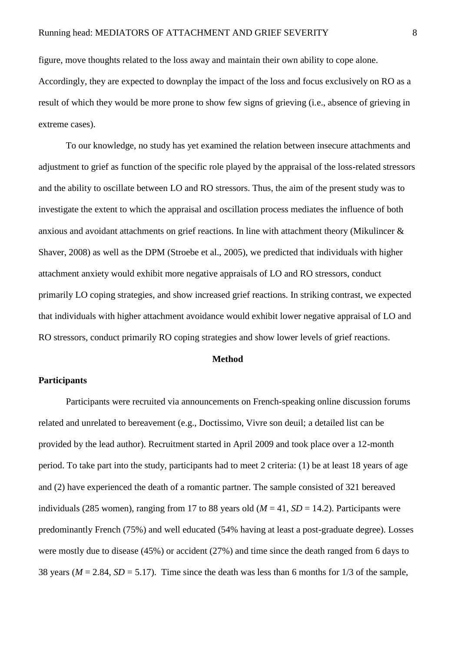figure, move thoughts related to the loss away and maintain their own ability to cope alone. Accordingly, they are expected to downplay the impact of the loss and focus exclusively on RO as a result of which they would be more prone to show few signs of grieving (i.e., absence of grieving in extreme cases).

To our knowledge, no study has yet examined the relation between insecure attachments and adjustment to grief as function of the specific role played by the appraisal of the loss-related stressors and the ability to oscillate between LO and RO stressors. Thus, the aim of the present study was to investigate the extent to which the appraisal and oscillation process mediates the influence of both anxious and avoidant attachments on grief reactions. In line with attachment theory (Mikulincer & Shaver, 2008) as well as the DPM (Stroebe et al., 2005), we predicted that individuals with higher attachment anxiety would exhibit more negative appraisals of LO and RO stressors, conduct primarily LO coping strategies, and show increased grief reactions. In striking contrast, we expected that individuals with higher attachment avoidance would exhibit lower negative appraisal of LO and RO stressors, conduct primarily RO coping strategies and show lower levels of grief reactions.

## **Method**

## **Participants**

Participants were recruited via announcements on French-speaking online discussion forums related and unrelated to bereavement (e.g., Doctissimo, Vivre son deuil; a detailed list can be provided by the lead author). Recruitment started in April 2009 and took place over a 12-month period. To take part into the study, participants had to meet 2 criteria: (1) be at least 18 years of age and (2) have experienced the death of a romantic partner. The sample consisted of 321 bereaved individuals (285 women), ranging from 17 to 88 years old ( $M = 41$ ,  $SD = 14.2$ ). Participants were predominantly French (75%) and well educated (54% having at least a post-graduate degree). Losses were mostly due to disease (45%) or accident (27%) and time since the death ranged from 6 days to 38 years ( $M = 2.84$ ,  $SD = 5.17$ ). Time since the death was less than 6 months for 1/3 of the sample,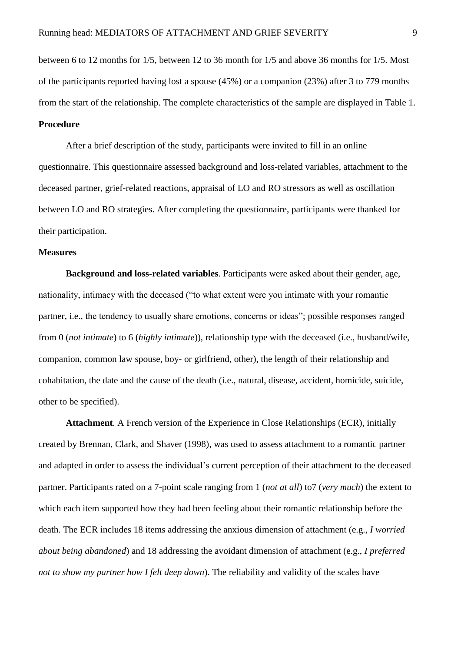between 6 to 12 months for 1/5, between 12 to 36 month for 1/5 and above 36 months for 1/5. Most of the participants reported having lost a spouse (45%) or a companion (23%) after 3 to 779 months from the start of the relationship. The complete characteristics of the sample are displayed in Table 1.

# **Procedure**

After a brief description of the study, participants were invited to fill in an online questionnaire. This questionnaire assessed background and loss-related variables, attachment to the deceased partner, grief-related reactions, appraisal of LO and RO stressors as well as oscillation between LO and RO strategies. After completing the questionnaire, participants were thanked for their participation.

## **Measures**

**Background and loss-related variables***.* Participants were asked about their gender, age, nationality, intimacy with the deceased ("to what extent were you intimate with your romantic partner, i.e., the tendency to usually share emotions, concerns or ideas"; possible responses ranged from 0 (*not intimate*) to 6 (*highly intimate*)), relationship type with the deceased (i.e., husband/wife, companion, common law spouse, boy- or girlfriend, other), the length of their relationship and cohabitation, the date and the cause of the death (i.e., natural, disease, accident, homicide, suicide, other to be specified).

**Attachment***.* A French version of the Experience in Close Relationships (ECR), initially created by Brennan, Clark, and Shaver (1998), was used to assess attachment to a romantic partner and adapted in order to assess the individual's current perception of their attachment to the deceased partner. Participants rated on a 7-point scale ranging from 1 (*not at all*) to7 (*very much*) the extent to which each item supported how they had been feeling about their romantic relationship before the death. The ECR includes 18 items addressing the anxious dimension of attachment (e.g., *I worried about being abandoned*) and 18 addressing the avoidant dimension of attachment (e.g., *I preferred not to show my partner how I felt deep down*). The reliability and validity of the scales have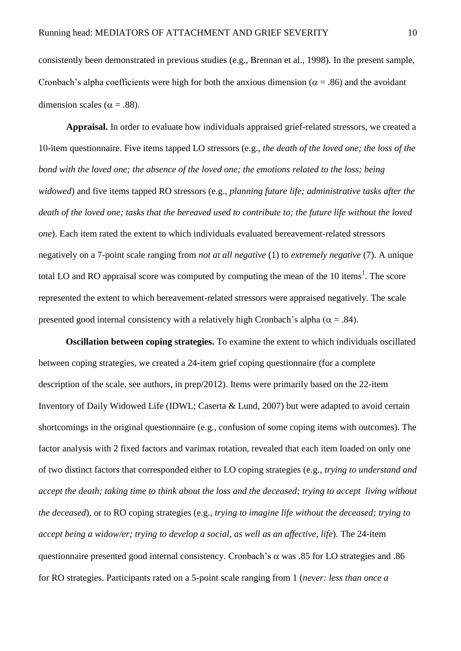consistently been demonstrated in previous studies (e.g., Brennan et al., 1998). In the present sample, Cronbach's alpha coefficients were high for both the anxious dimension ( $\alpha$  = .86) and the avoidant dimension scales ( $\alpha$  = .88).

**Appraisal.** In order to evaluate how individuals appraised grief-related stressors, we created a 10-item questionnaire. Five items tapped LO stressors (e.g., *the death of the loved one; the loss of the bond with the loved one; the absence of the loved one; the emotions related to the loss; being widowed*) and five items tapped RO stressors (e.g., *planning future life; administrative tasks after the death of the loved one; tasks that the bereaved used to contribute to; the future life without the loved one*). Each item rated the extent to which individuals evaluated bereavement-related stressors negatively on a 7-point scale ranging from *not at all negative* (1) to *extremely negative* (7). A unique total LO and RO appraisal score was computed by computing the mean of the 10 items<sup>1</sup>. The score represented the extent to which bereavement-related stressors were appraised negatively. The scale presented good internal consistency with a relatively high Cronbach's alpha ( $\alpha = .84$ ).

**Oscillation between coping strategies.** To examine the extent to which individuals oscillated between coping strategies, we created a 24-item grief coping questionnaire (for a complete description of the scale, see authors, in prep/2012). Items were primarily based on the 22-item Inventory of Daily Widowed Life (IDWL; Caserta & Lund, 2007) but were adapted to avoid certain shortcomings in the original questionnaire (e.g., confusion of some coping items with outcomes). The factor analysis with 2 fixed factors and varimax rotation, revealed that each item loaded on only one of two distinct factors that corresponded either to LO coping strategies (e.g., *trying to understand and accept the death; taking time to think about the loss and the deceased; trying to accept living without the deceased*), or to RO coping strategies (e.g., *trying to imagine life without the deceased; trying to accept being a widow/er; trying to develop a social, as well as an affective, life*). The 24-item questionnaire presented good internal consistency. Cronbach's  $\alpha$  was .85 for LO strategies and .86 for RO strategies. Participants rated on a 5-point scale ranging from 1 (*never: less than once a*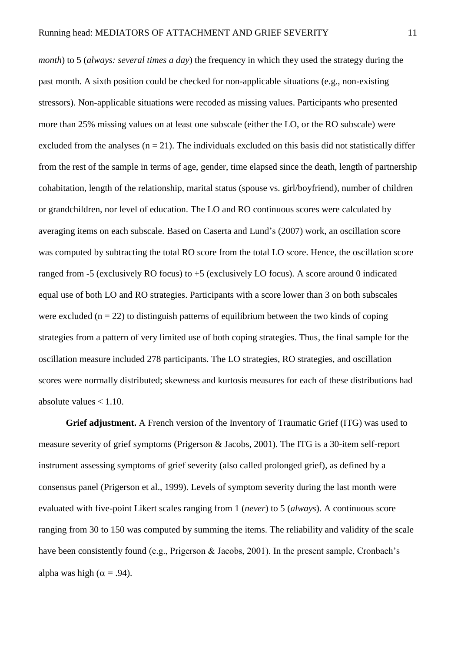*month*) to 5 (*always: several times a day*) the frequency in which they used the strategy during the past month. A sixth position could be checked for non-applicable situations (e.g., non-existing stressors). Non-applicable situations were recoded as missing values. Participants who presented more than 25% missing values on at least one subscale (either the LO, or the RO subscale) were excluded from the analyses ( $n = 21$ ). The individuals excluded on this basis did not statistically differ from the rest of the sample in terms of age, gender, time elapsed since the death, length of partnership cohabitation, length of the relationship, marital status (spouse vs. girl/boyfriend), number of children or grandchildren, nor level of education. The LO and RO continuous scores were calculated by averaging items on each subscale. Based on Caserta and Lund's (2007) work, an oscillation score was computed by subtracting the total RO score from the total LO score. Hence, the oscillation score ranged from  $-5$  (exclusively RO focus) to  $+5$  (exclusively LO focus). A score around 0 indicated equal use of both LO and RO strategies. Participants with a score lower than 3 on both subscales were excluded ( $n = 22$ ) to distinguish patterns of equilibrium between the two kinds of coping strategies from a pattern of very limited use of both coping strategies. Thus, the final sample for the oscillation measure included 278 participants. The LO strategies, RO strategies, and oscillation scores were normally distributed; skewness and kurtosis measures for each of these distributions had absolute values  $< 1.10$ .

**Grief adjustment.** A French version of the Inventory of Traumatic Grief (ITG) was used to measure severity of grief symptoms (Prigerson & Jacobs, 2001). The ITG is a 30-item self-report instrument assessing symptoms of grief severity (also called prolonged grief), as defined by a consensus panel (Prigerson et al., 1999). Levels of symptom severity during the last month were evaluated with five-point Likert scales ranging from 1 (*never*) to 5 (*always*). A continuous score ranging from 30 to 150 was computed by summing the items. The reliability and validity of the scale have been consistently found (e.g., Prigerson & Jacobs, 2001). In the present sample, Cronbach's alpha was high ( $\alpha = .94$ ).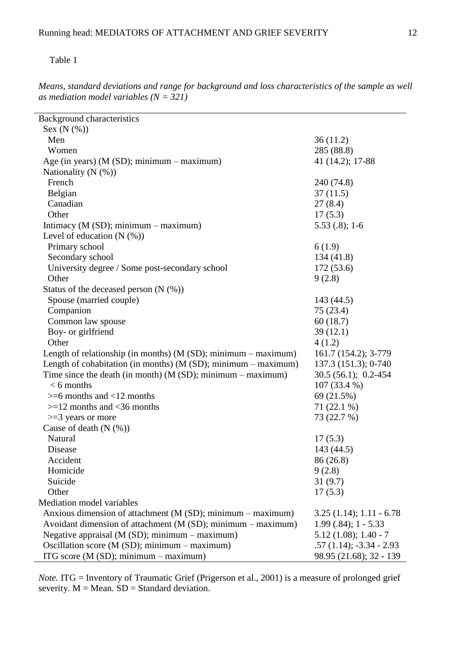# Table 1

*Means, standard deviations and range for background and loss characteristics of the sample as well as mediation model variables (N = 321)*

| <b>Background characteristics</b>                                 |                           |
|-------------------------------------------------------------------|---------------------------|
| Sex $(N$ $(\%)$                                                   |                           |
| Men                                                               | 36(11.2)                  |
| Women                                                             | 285 (88.8)                |
| Age (in years) ( $M(SD)$ ; minimum – maximum)                     | 41 (14.2); 17-88          |
| Nationality $(N$ $(\%)$                                           |                           |
| French                                                            | 240 (74.8)                |
| Belgian                                                           | 37(11.5)                  |
| Canadian                                                          | 27(8.4)                   |
| Other                                                             | 17(5.3)                   |
| Intimacy ( $M(SD)$ ; minimum – maximum)                           | $5.53(.8); 1-6$           |
| Level of education $(N$ $(\%)$                                    |                           |
| Primary school                                                    | 6(1.9)                    |
| Secondary school                                                  | 134(41.8)                 |
| University degree / Some post-secondary school                    | 172(53.6)                 |
| Other                                                             | 9(2.8)                    |
| Status of the deceased person $(N$ $(\%)$                         |                           |
| Spouse (married couple)                                           | 143 (44.5)                |
| Companion                                                         | 75 (23.4)                 |
| Common law spouse                                                 | 60(18.7)                  |
| Boy- or girlfriend                                                | 39(12.1)                  |
| Other                                                             | 4(1.2)                    |
| Length of relationship (in months) $(M(SD))$ ; minimum – maximum) | 161.7 (154.2); 3-779      |
| Length of cohabitation (in months) ( $M(SD)$ ; minimum – maximum) | 137.3 (151.3); 0-740      |
| Time since the death (in month) $(M(SD))$ ; minimum – maximum)    | $30.5(56.1); 0.2-454$     |
| $< 6$ months                                                      | 107 (33.4 %)              |
| $>= 6$ months and $< 12$ months                                   | 69 (21.5%)                |
| $>=12$ months and <36 months                                      | $71(22.1\%)$              |
| $>=$ 3 years or more                                              | 73 (22.7 %)               |
| Cause of death $(N$ $(\%)$                                        |                           |
| Natural                                                           | 17(5.3)                   |
| Disease                                                           | 143 (44.5)                |
| Accident                                                          | 86 (26.8)                 |
| Homicide                                                          | 9(2.8)                    |
| Suicide                                                           | 31(9.7)                   |
| Other                                                             | 17(5.3)                   |
| Mediation model variables                                         |                           |
| Anxious dimension of attachment (M (SD); minimum - maximum)       | $3.25(1.14); 1.11 - 6.78$ |
| Avoidant dimension of attachment (M (SD); minimum - maximum)      | $1.99(.84); 1 - 5.33$     |
| Negative appraisal (M (SD); minimum - maximum)                    | $5.12(1.08); 1.40 - 7$    |
| Oscillation score ( $M(SD)$ ; minimum – maximum)                  | $.57(1.14); -3.34 - 2.93$ |
| ITG score $(M(SD))$ ; minimum – maximum)                          | 98.95 (21.68); 32 - 139   |

*Note.* ITG = Inventory of Traumatic Grief (Prigerson et al., 2001) is a measure of prolonged grief severity.  $M = Mean$ .  $SD = Standard deviation$ .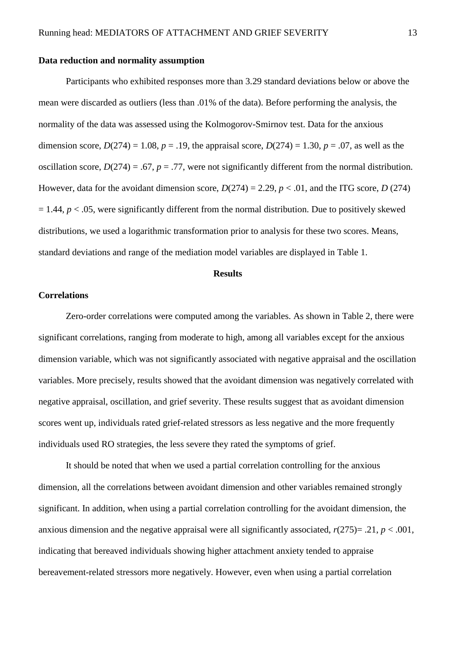### **Data reduction and normality assumption**

Participants who exhibited responses more than 3.29 standard deviations below or above the mean were discarded as outliers (less than .01% of the data). Before performing the analysis, the normality of the data was assessed using the Kolmogorov-Smirnov test. Data for the anxious dimension score,  $D(274) = 1.08$ ,  $p = .19$ , the appraisal score,  $D(274) = 1.30$ ,  $p = .07$ , as well as the oscillation score,  $D(274) = .67$ ,  $p = .77$ , were not significantly different from the normal distribution. However, data for the avoidant dimension score,  $D(274) = 2.29$ ,  $p < .01$ , and the ITG score,  $D(274)$  $= 1.44$ ,  $p < .05$ , were significantly different from the normal distribution. Due to positively skewed distributions, we used a logarithmic transformation prior to analysis for these two scores. Means, standard deviations and range of the mediation model variables are displayed in Table 1.

### **Results**

# **Correlations**

Zero-order correlations were computed among the variables. As shown in Table 2, there were significant correlations, ranging from moderate to high, among all variables except for the anxious dimension variable, which was not significantly associated with negative appraisal and the oscillation variables. More precisely, results showed that the avoidant dimension was negatively correlated with negative appraisal, oscillation, and grief severity. These results suggest that as avoidant dimension scores went up, individuals rated grief-related stressors as less negative and the more frequently individuals used RO strategies, the less severe they rated the symptoms of grief.

It should be noted that when we used a partial correlation controlling for the anxious dimension, all the correlations between avoidant dimension and other variables remained strongly significant. In addition, when using a partial correlation controlling for the avoidant dimension, the anxious dimension and the negative appraisal were all significantly associated,  $r(275) = .21$ ,  $p < .001$ , indicating that bereaved individuals showing higher attachment anxiety tended to appraise bereavement-related stressors more negatively. However, even when using a partial correlation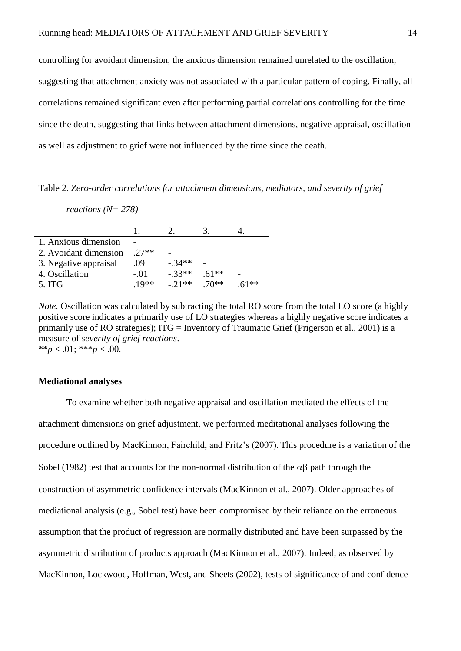controlling for avoidant dimension, the anxious dimension remained unrelated to the oscillation, suggesting that attachment anxiety was not associated with a particular pattern of coping. Finally, all correlations remained significant even after performing partial correlations controlling for the time since the death, suggesting that links between attachment dimensions, negative appraisal, oscillation as well as adjustment to grief were not influenced by the time since the death.

Table 2. *Zero-order correlations for attachment dimensions, mediators, and severity of grief* 

*reactions (N= 278)*

| 1. Anxious dimension  |        |          |        |    |
|-----------------------|--------|----------|--------|----|
| 2. Avoidant dimension | $27**$ |          |        |    |
| 3. Negative appraisal | .09    | $-.34**$ |        |    |
| 4. Oscillation        | $-.01$ | $-33**$  | $61**$ |    |
| 5. ITG                | $10**$ | $-.21**$ | $70**$ | ** |

*Note.* Oscillation was calculated by subtracting the total RO score from the total LO score (a highly positive score indicates a primarily use of LO strategies whereas a highly negative score indicates a primarily use of RO strategies); ITG = Inventory of Traumatic Grief (Prigerson et al., 2001) is a measure of *severity of grief reactions*. \*\**p* < .01; \*\*\**p* < .00.

## **Mediational analyses**

To examine whether both negative appraisal and oscillation mediated the effects of the attachment dimensions on grief adjustment, we performed meditational analyses following the procedure outlined by MacKinnon, Fairchild, and Fritz's (2007). This procedure is a variation of the Sobel (1982) test that accounts for the non-normal distribution of the  $\alpha\beta$  path through the construction of asymmetric confidence intervals (MacKinnon et al., 2007). Older approaches of mediational analysis (e.g., Sobel test) have been compromised by their reliance on the erroneous assumption that the product of regression are normally distributed and have been surpassed by the asymmetric distribution of products approach (MacKinnon et al., 2007). Indeed, as observed by MacKinnon, Lockwood, Hoffman, West, and Sheets (2002), tests of significance of and confidence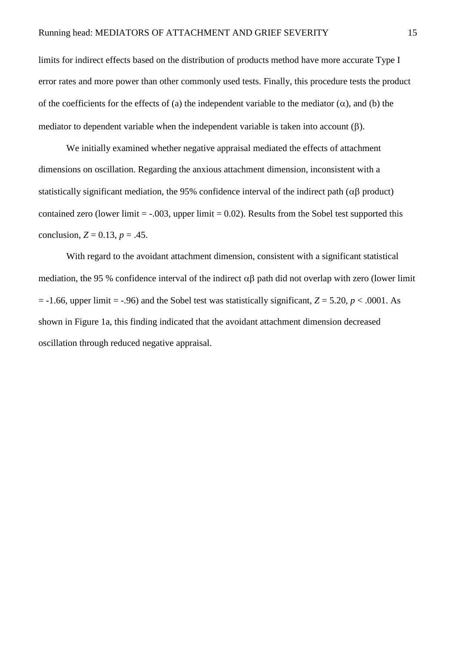limits for indirect effects based on the distribution of products method have more accurate Type I error rates and more power than other commonly used tests. Finally, this procedure tests the product of the coefficients for the effects of (a) the independent variable to the mediator  $(\alpha)$ , and (b) the mediator to dependent variable when the independent variable is taken into account  $(\beta)$ .

We initially examined whether negative appraisal mediated the effects of attachment dimensions on oscillation. Regarding the anxious attachment dimension, inconsistent with a statistically significant mediation, the 95% confidence interval of the indirect path ( $\alpha\beta$  product) contained zero (lower limit  $= -0.03$ , upper limit  $= 0.02$ ). Results from the Sobel test supported this conclusion,  $Z = 0.13$ ,  $p = .45$ .

With regard to the avoidant attachment dimension, consistent with a significant statistical mediation, the 95 % confidence interval of the indirect  $\alpha\beta$  path did not overlap with zero (lower limit  $= -1.66$ , upper limit  $= -0.96$ ) and the Sobel test was statistically significant,  $Z = 5.20$ ,  $p < .0001$ . As shown in Figure 1a, this finding indicated that the avoidant attachment dimension decreased oscillation through reduced negative appraisal.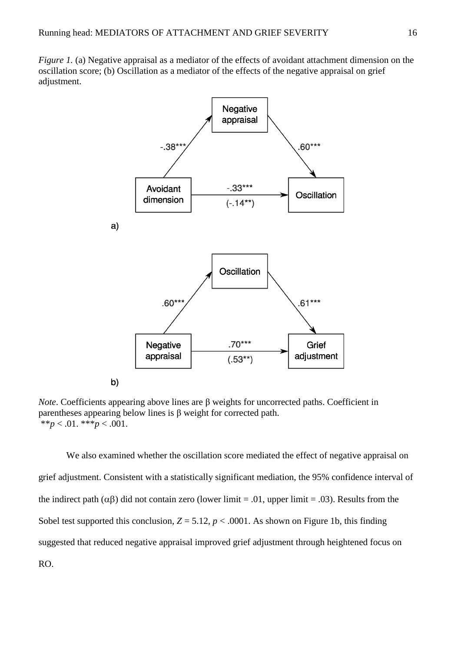*Figure 1.* (a) Negative appraisal as a mediator of the effects of avoidant attachment dimension on the oscillation score; (b) Oscillation as a mediator of the effects of the negative appraisal on grief adjustment.



*Note*. Coefficients appearing above lines are β weights for uncorrected paths. Coefficient in parentheses appearing below lines is β weight for corrected path. \*\* $p < .01$ . \*\*\* $p < .001$ .

We also examined whether the oscillation score mediated the effect of negative appraisal on grief adjustment. Consistent with a statistically significant mediation, the 95% confidence interval of the indirect path ( $\alpha\beta$ ) did not contain zero (lower limit = .01, upper limit = .03). Results from the Sobel test supported this conclusion,  $Z = 5.12$ ,  $p < .0001$ . As shown on Figure 1b, this finding suggested that reduced negative appraisal improved grief adjustment through heightened focus on RO.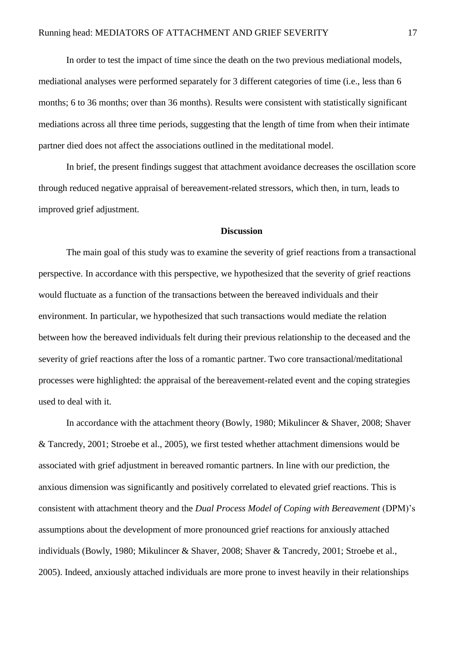In order to test the impact of time since the death on the two previous mediational models, mediational analyses were performed separately for 3 different categories of time (i.e., less than 6 months; 6 to 36 months; over than 36 months). Results were consistent with statistically significant mediations across all three time periods, suggesting that the length of time from when their intimate partner died does not affect the associations outlined in the meditational model.

In brief, the present findings suggest that attachment avoidance decreases the oscillation score through reduced negative appraisal of bereavement-related stressors, which then, in turn, leads to improved grief adjustment.

## **Discussion**

The main goal of this study was to examine the severity of grief reactions from a transactional perspective. In accordance with this perspective, we hypothesized that the severity of grief reactions would fluctuate as a function of the transactions between the bereaved individuals and their environment. In particular, we hypothesized that such transactions would mediate the relation between how the bereaved individuals felt during their previous relationship to the deceased and the severity of grief reactions after the loss of a romantic partner. Two core transactional/meditational processes were highlighted: the appraisal of the bereavement-related event and the coping strategies used to deal with it.

In accordance with the attachment theory (Bowly, 1980; Mikulincer & Shaver, 2008; Shaver & Tancredy, 2001; Stroebe et al., 2005), we first tested whether attachment dimensions would be associated with grief adjustment in bereaved romantic partners. In line with our prediction, the anxious dimension was significantly and positively correlated to elevated grief reactions. This is consistent with attachment theory and the *Dual Process Model of Coping with Bereavement* (DPM)'s assumptions about the development of more pronounced grief reactions for anxiously attached individuals (Bowly, 1980; Mikulincer & Shaver, 2008; Shaver & Tancredy, 2001; Stroebe et al., 2005). Indeed, anxiously attached individuals are more prone to invest heavily in their relationships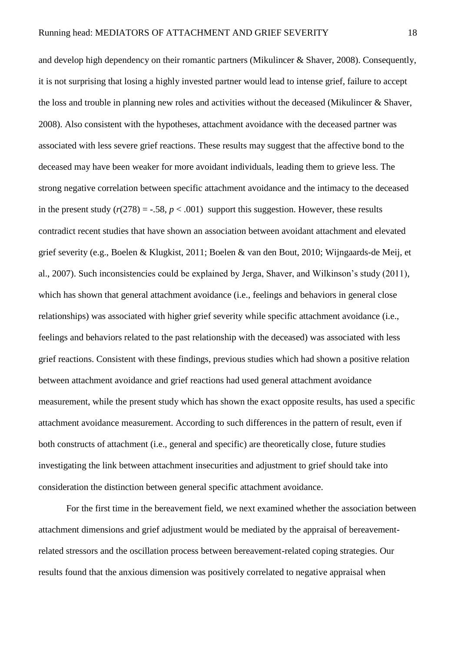and develop high dependency on their romantic partners (Mikulincer & Shaver, 2008). Consequently, it is not surprising that losing a highly invested partner would lead to intense grief, failure to accept the loss and trouble in planning new roles and activities without the deceased (Mikulincer & Shaver, 2008). Also consistent with the hypotheses, attachment avoidance with the deceased partner was associated with less severe grief reactions. These results may suggest that the affective bond to the deceased may have been weaker for more avoidant individuals, leading them to grieve less. The strong negative correlation between specific attachment avoidance and the intimacy to the deceased in the present study  $(r(278) = -.58, p < .001)$  support this suggestion. However, these results contradict recent studies that have shown an association between avoidant attachment and elevated grief severity (e.g., Boelen & Klugkist, 2011; Boelen & van den Bout, 2010; Wijngaards-de Meij, et al., 2007). Such inconsistencies could be explained by Jerga, Shaver, and Wilkinson's study (2011), which has shown that general attachment avoidance *(i.e., feelings and behaviors in general close*) relationships) was associated with higher grief severity while specific attachment avoidance (i.e., feelings and behaviors related to the past relationship with the deceased) was associated with less grief reactions. Consistent with these findings, previous studies which had shown a positive relation between attachment avoidance and grief reactions had used general attachment avoidance measurement, while the present study which has shown the exact opposite results, has used a specific attachment avoidance measurement. According to such differences in the pattern of result, even if both constructs of attachment (i.e., general and specific) are theoretically close, future studies investigating the link between attachment insecurities and adjustment to grief should take into consideration the distinction between general specific attachment avoidance.

For the first time in the bereavement field, we next examined whether the association between attachment dimensions and grief adjustment would be mediated by the appraisal of bereavementrelated stressors and the oscillation process between bereavement-related coping strategies. Our results found that the anxious dimension was positively correlated to negative appraisal when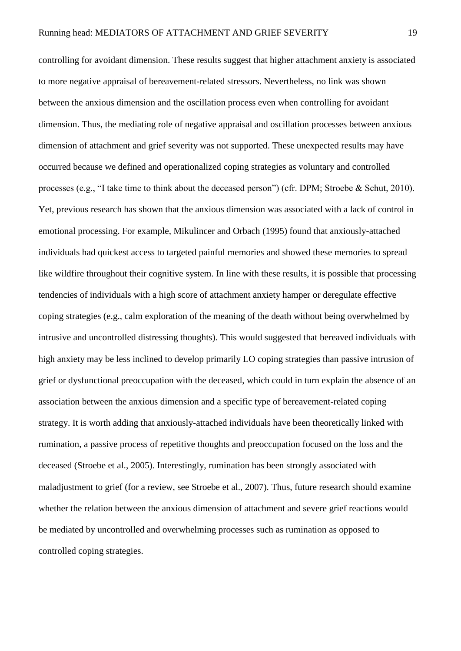controlling for avoidant dimension. These results suggest that higher attachment anxiety is associated to more negative appraisal of bereavement-related stressors. Nevertheless, no link was shown between the anxious dimension and the oscillation process even when controlling for avoidant dimension. Thus, the mediating role of negative appraisal and oscillation processes between anxious dimension of attachment and grief severity was not supported. These unexpected results may have occurred because we defined and operationalized coping strategies as voluntary and controlled processes (e.g., "I take time to think about the deceased person") (cfr. DPM; Stroebe & Schut, 2010). Yet, previous research has shown that the anxious dimension was associated with a lack of control in emotional processing. For example, Mikulincer and Orbach (1995) found that anxiously-attached individuals had quickest access to targeted painful memories and showed these memories to spread like wildfire throughout their cognitive system. In line with these results, it is possible that processing tendencies of individuals with a high score of attachment anxiety hamper or deregulate effective coping strategies (e.g., calm exploration of the meaning of the death without being overwhelmed by intrusive and uncontrolled distressing thoughts). This would suggested that bereaved individuals with high anxiety may be less inclined to develop primarily LO coping strategies than passive intrusion of grief or dysfunctional preoccupation with the deceased, which could in turn explain the absence of an association between the anxious dimension and a specific type of bereavement-related coping strategy. It is worth adding that anxiously-attached individuals have been theoretically linked with rumination, a passive process of repetitive thoughts and preoccupation focused on the loss and the deceased (Stroebe et al., 2005). Interestingly, rumination has been strongly associated with maladjustment to grief (for a review, see Stroebe et al., 2007). Thus, future research should examine whether the relation between the anxious dimension of attachment and severe grief reactions would be mediated by uncontrolled and overwhelming processes such as rumination as opposed to controlled coping strategies.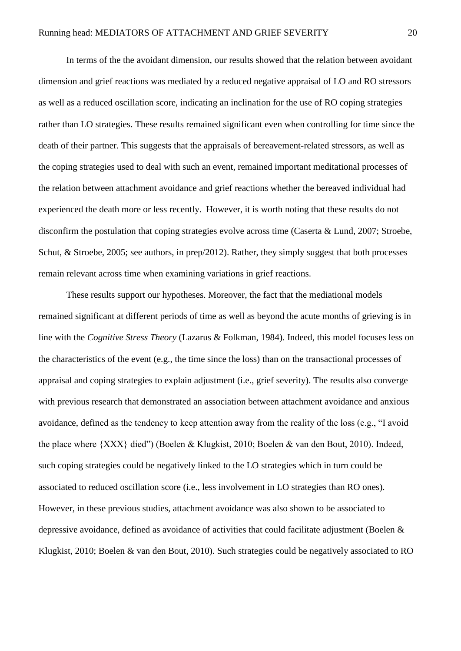In terms of the the avoidant dimension, our results showed that the relation between avoidant dimension and grief reactions was mediated by a reduced negative appraisal of LO and RO stressors as well as a reduced oscillation score, indicating an inclination for the use of RO coping strategies rather than LO strategies. These results remained significant even when controlling for time since the death of their partner. This suggests that the appraisals of bereavement-related stressors, as well as the coping strategies used to deal with such an event, remained important meditational processes of the relation between attachment avoidance and grief reactions whether the bereaved individual had experienced the death more or less recently. However, it is worth noting that these results do not disconfirm the postulation that coping strategies evolve across time (Caserta & Lund, 2007; Stroebe, Schut, & Stroebe, 2005; see authors, in prep/2012). Rather, they simply suggest that both processes remain relevant across time when examining variations in grief reactions.

These results support our hypotheses. Moreover, the fact that the mediational models remained significant at different periods of time as well as beyond the acute months of grieving is in line with the *Cognitive Stress Theory* (Lazarus & Folkman, 1984). Indeed, this model focuses less on the characteristics of the event (e.g., the time since the loss) than on the transactional processes of appraisal and coping strategies to explain adjustment (i.e., grief severity). The results also converge with previous research that demonstrated an association between attachment avoidance and anxious avoidance, defined as the tendency to keep attention away from the reality of the loss (e.g., "I avoid the place where {XXX} died") (Boelen & Klugkist, 2010; Boelen & van den Bout, 2010). Indeed, such coping strategies could be negatively linked to the LO strategies which in turn could be associated to reduced oscillation score (i.e., less involvement in LO strategies than RO ones). However, in these previous studies, attachment avoidance was also shown to be associated to depressive avoidance, defined as avoidance of activities that could facilitate adjustment (Boelen & Klugkist, 2010; Boelen & van den Bout, 2010). Such strategies could be negatively associated to RO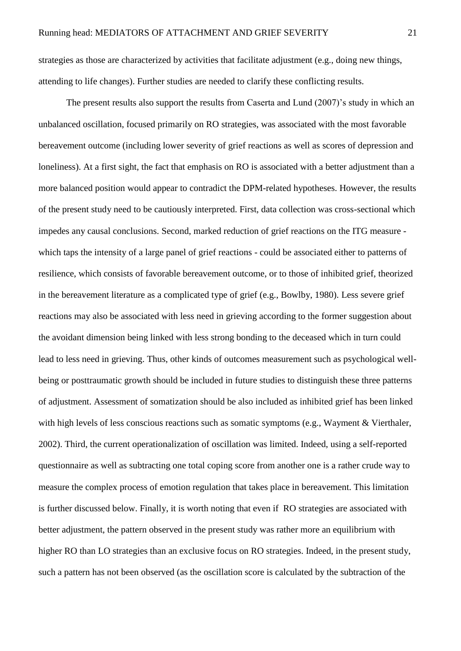strategies as those are characterized by activities that facilitate adjustment (e.g., doing new things, attending to life changes). Further studies are needed to clarify these conflicting results.

The present results also support the results from Caserta and Lund (2007)'s study in which an unbalanced oscillation, focused primarily on RO strategies, was associated with the most favorable bereavement outcome (including lower severity of grief reactions as well as scores of depression and loneliness). At a first sight, the fact that emphasis on RO is associated with a better adjustment than a more balanced position would appear to contradict the DPM-related hypotheses. However, the results of the present study need to be cautiously interpreted. First, data collection was cross-sectional which impedes any causal conclusions. Second, marked reduction of grief reactions on the ITG measure which taps the intensity of a large panel of grief reactions - could be associated either to patterns of resilience, which consists of favorable bereavement outcome, or to those of inhibited grief, theorized in the bereavement literature as a complicated type of grief (e.g., Bowlby, 1980). Less severe grief reactions may also be associated with less need in grieving according to the former suggestion about the avoidant dimension being linked with less strong bonding to the deceased which in turn could lead to less need in grieving. Thus, other kinds of outcomes measurement such as psychological wellbeing or posttraumatic growth should be included in future studies to distinguish these three patterns of adjustment. Assessment of somatization should be also included as inhibited grief has been linked with high levels of less conscious reactions such as somatic symptoms (e.g., Wayment & Vierthaler, 2002). Third, the current operationalization of oscillation was limited. Indeed, using a self-reported questionnaire as well as subtracting one total coping score from another one is a rather crude way to measure the complex process of emotion regulation that takes place in bereavement. This limitation is further discussed below. Finally, it is worth noting that even if RO strategies are associated with better adjustment, the pattern observed in the present study was rather more an equilibrium with higher RO than LO strategies than an exclusive focus on RO strategies. Indeed, in the present study, such a pattern has not been observed (as the oscillation score is calculated by the subtraction of the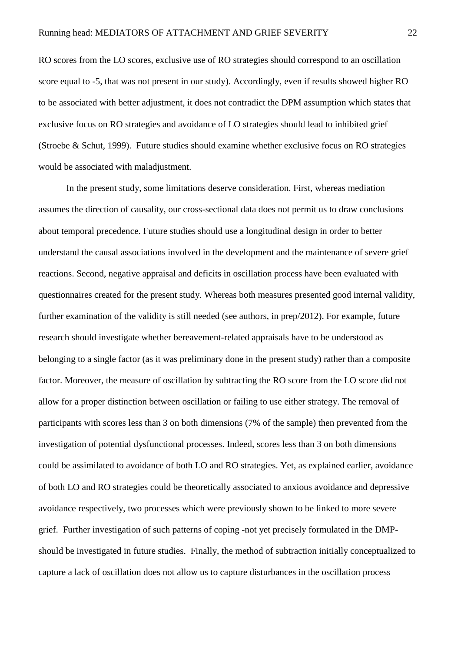RO scores from the LO scores, exclusive use of RO strategies should correspond to an oscillation score equal to -5, that was not present in our study). Accordingly, even if results showed higher RO to be associated with better adjustment, it does not contradict the DPM assumption which states that exclusive focus on RO strategies and avoidance of LO strategies should lead to inhibited grief (Stroebe & Schut, 1999). Future studies should examine whether exclusive focus on RO strategies would be associated with maladjustment.

In the present study, some limitations deserve consideration. First, whereas mediation assumes the direction of causality, our cross-sectional data does not permit us to draw conclusions about temporal precedence. Future studies should use a longitudinal design in order to better understand the causal associations involved in the development and the maintenance of severe grief reactions. Second, negative appraisal and deficits in oscillation process have been evaluated with questionnaires created for the present study. Whereas both measures presented good internal validity, further examination of the validity is still needed (see authors, in prep/2012). For example, future research should investigate whether bereavement-related appraisals have to be understood as belonging to a single factor (as it was preliminary done in the present study) rather than a composite factor. Moreover, the measure of oscillation by subtracting the RO score from the LO score did not allow for a proper distinction between oscillation or failing to use either strategy. The removal of participants with scores less than 3 on both dimensions (7% of the sample) then prevented from the investigation of potential dysfunctional processes. Indeed, scores less than 3 on both dimensions could be assimilated to avoidance of both LO and RO strategies. Yet, as explained earlier, avoidance of both LO and RO strategies could be theoretically associated to anxious avoidance and depressive avoidance respectively, two processes which were previously shown to be linked to more severe grief. Further investigation of such patterns of coping -not yet precisely formulated in the DMPshould be investigated in future studies. Finally, the method of subtraction initially conceptualized to capture a lack of oscillation does not allow us to capture disturbances in the oscillation process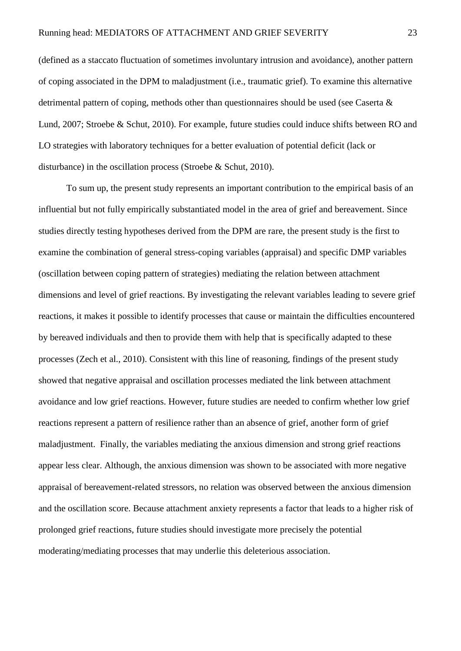(defined as a staccato fluctuation of sometimes involuntary intrusion and avoidance), another pattern of coping associated in the DPM to maladjustment (i.e., traumatic grief). To examine this alternative detrimental pattern of coping, methods other than questionnaires should be used (see Caserta & Lund, 2007; Stroebe & Schut, 2010). For example, future studies could induce shifts between RO and LO strategies with laboratory techniques for a better evaluation of potential deficit (lack or disturbance) in the oscillation process (Stroebe & Schut, 2010).

To sum up, the present study represents an important contribution to the empirical basis of an influential but not fully empirically substantiated model in the area of grief and bereavement. Since studies directly testing hypotheses derived from the DPM are rare, the present study is the first to examine the combination of general stress-coping variables (appraisal) and specific DMP variables (oscillation between coping pattern of strategies) mediating the relation between attachment dimensions and level of grief reactions. By investigating the relevant variables leading to severe grief reactions, it makes it possible to identify processes that cause or maintain the difficulties encountered by bereaved individuals and then to provide them with help that is specifically adapted to these processes (Zech et al., 2010). Consistent with this line of reasoning, findings of the present study showed that negative appraisal and oscillation processes mediated the link between attachment avoidance and low grief reactions. However, future studies are needed to confirm whether low grief reactions represent a pattern of resilience rather than an absence of grief, another form of grief maladjustment. Finally, the variables mediating the anxious dimension and strong grief reactions appear less clear. Although, the anxious dimension was shown to be associated with more negative appraisal of bereavement-related stressors, no relation was observed between the anxious dimension and the oscillation score. Because attachment anxiety represents a factor that leads to a higher risk of prolonged grief reactions, future studies should investigate more precisely the potential moderating/mediating processes that may underlie this deleterious association.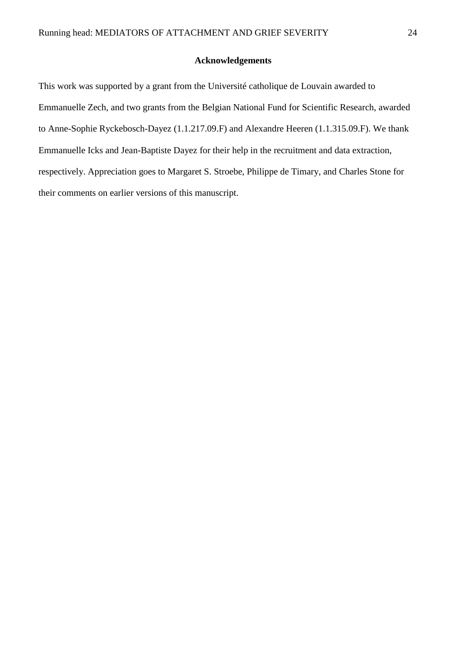## **Acknowledgements**

This work was supported by a grant from the Université catholique de Louvain awarded to Emmanuelle Zech, and two grants from the Belgian National Fund for Scientific Research, awarded to Anne-Sophie Ryckebosch-Dayez (1.1.217.09.F) and Alexandre Heeren (1.1.315.09.F). We thank Emmanuelle Icks and Jean-Baptiste Dayez for their help in the recruitment and data extraction, respectively. Appreciation goes to Margaret S. Stroebe, Philippe de Timary, and Charles Stone for their comments on earlier versions of this manuscript.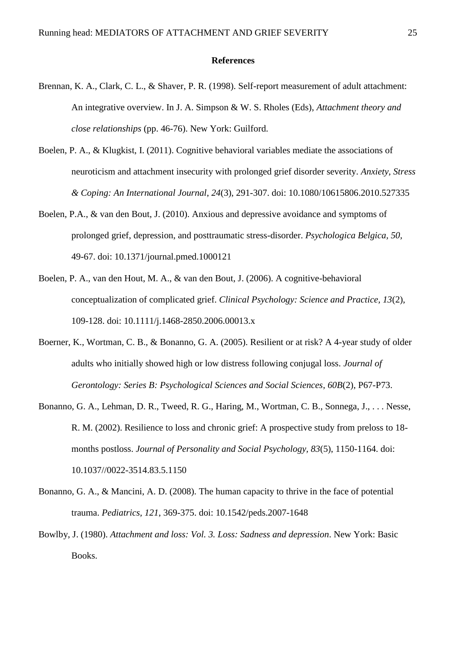### **References**

- Brennan, K. A., Clark, C. L., & Shaver, P. R. (1998). Self-report measurement of adult attachment: An integrative overview. In J. A. Simpson & W. S. Rholes (Eds), *Attachment theory and close relationships* (pp. 46-76). New York: Guilford.
- Boelen, P. A., & Klugkist, I. (2011). Cognitive behavioral variables mediate the associations of neuroticism and attachment insecurity with prolonged grief disorder severity. *Anxiety, Stress & Coping: An International Journal*, *24*(3), 291-307. doi: 10.1080/10615806.2010.527335
- Boelen, P.A., & van den Bout, J. (2010). Anxious and depressive avoidance and symptoms of prolonged grief, depression, and posttraumatic stress-disorder. *Psychologica Belgica, 50,* 49-67. doi: 10.1371/journal.pmed.1000121
- Boelen, P. A., van den Hout, M. A., & van den Bout, J. (2006). A cognitive-behavioral conceptualization of complicated grief. *Clinical Psychology: Science and Practice, 13*(2), 109-128. doi: 10.1111/j.1468-2850.2006.00013.x
- Boerner, K., Wortman, C. B., & Bonanno, G. A. (2005). Resilient or at risk? A 4-year study of older adults who initially showed high or low distress following conjugal loss. *Journal of Gerontology: Series B: Psychological Sciences and Social Sciences*, *60B*(2), P67-P73.
- Bonanno, G. A., Lehman, D. R., Tweed, R. G., Haring, M., Wortman, C. B., Sonnega, J., . . . Nesse, R. M. (2002). Resilience to loss and chronic grief: A prospective study from preloss to 18 months postloss. *Journal of Personality and Social Psychology, 83*(5), 1150-1164. doi: 10.1037//0022-3514.83.5.1150
- Bonanno, G. A., & Mancini, A. D. (2008). The human capacity to thrive in the face of potential trauma. *Pediatrics, 121*, 369-375. doi: 10.1542/peds.2007-1648
- Bowlby, J. (1980). *Attachment and loss: Vol. 3. Loss: Sadness and depression*. New York: Basic Books.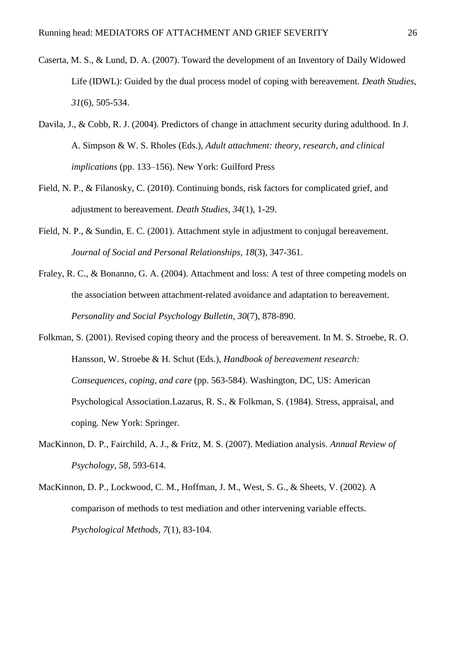- Caserta, M. S., & Lund, D. A. (2007). Toward the development of an Inventory of Daily Widowed Life (IDWL): Guided by the dual process model of coping with bereavement. *Death Studies*, *31*(6), 505-534.
- Davila, J., & Cobb, R. J. (2004). Predictors of change in attachment security during adulthood. In J. A. Simpson & W. S. Rholes (Eds.), *Adult attachment: theory, research, and clinical implications* (pp. 133–156). New York: Guilford Press
- Field, N. P., & Filanosky, C. (2010). Continuing bonds, risk factors for complicated grief, and adjustment to bereavement. *Death Studies, 34*(1), 1-29.
- Field, N. P., & Sundin, E. C. (2001). Attachment style in adjustment to conjugal bereavement. *Journal of Social and Personal Relationships, 18*(3), 347-361.
- Fraley, R. C., & Bonanno, G. A. (2004). Attachment and loss: A test of three competing models on the association between attachment-related avoidance and adaptation to bereavement. *Personality and Social Psychology Bulletin, 30*(7), 878-890.
- Folkman, S. (2001). Revised coping theory and the process of bereavement. In M. S. Stroebe, R. O. Hansson, W. Stroebe & H. Schut (Eds.), *Handbook of bereavement research: Consequences, coping, and care* (pp. 563-584). Washington, DC, US: American Psychological Association.Lazarus, R. S., & Folkman, S. (1984). Stress, appraisal, and coping. New York: Springer.
- MacKinnon, D. P., Fairchild, A. J., & Fritz, M. S. (2007). Mediation analysis. *Annual Review of Psychology, 58*, 593-614.
- MacKinnon, D. P., Lockwood, C. M., Hoffman, J. M., West, S. G., & Sheets, V. (2002). A comparison of methods to test mediation and other intervening variable effects. *Psychological Methods*, *7*(1), 83-104.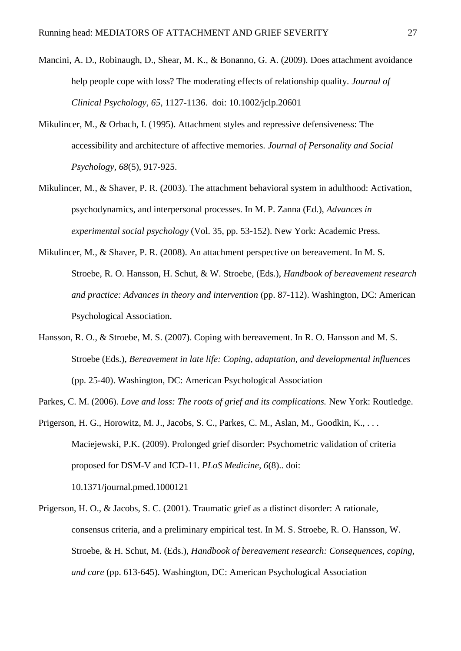- Mancini, A. D., Robinaugh, D., Shear, M. K., & Bonanno, G. A. (2009). Does attachment avoidance help people cope with loss? The moderating effects of relationship quality. *Journal of Clinical Psychology, 65*, 1127-1136. doi: 10.1002/jclp.20601
- Mikulincer, M., & Orbach, I. (1995). Attachment styles and repressive defensiveness: The accessibility and architecture of affective memories. *Journal of Personality and Social Psychology, 68*(5), 917-925.
- Mikulincer, M., & Shaver, P. R. (2003). The attachment behavioral system in adulthood: Activation, psychodynamics, and interpersonal processes. In M. P. Zanna (Ed.), *Advances in experimental social psychology* (Vol. 35, pp. 53-152). New York: Academic Press.
- Mikulincer, M., & Shaver, P. R. (2008). An attachment perspective on bereavement. In M. S. Stroebe, R. O. Hansson, H. Schut, & W. Stroebe, (Eds.), *Handbook of bereavement research and practice: Advances in theory and intervention* (pp. 87-112). Washington, DC: American Psychological Association.
- Hansson, R. O., & Stroebe, M. S. (2007). Coping with bereavement. In R. O. Hansson and M. S. Stroebe (Eds.), *Bereavement in late life: Coping, adaptation, and developmental influences* (pp. 25-40). Washington, DC: American Psychological Association
- Parkes, C. M. (2006). *Love and loss: The roots of grief and its complications.* New York: Routledge.
- Prigerson, H. G., Horowitz, M. J., Jacobs, S. C., Parkes, C. M., Aslan, M., Goodkin, K., ... Maciejewski, P.K. (2009). Prolonged grief disorder: Psychometric validation of criteria proposed for DSM-V and ICD-11. *PLoS Medicine, 6*(8).. doi: 10.1371/journal.pmed.1000121
- Prigerson, H. O., & Jacobs, S. C. (2001). Traumatic grief as a distinct disorder: A rationale, consensus criteria, and a preliminary empirical test. In M. S. Stroebe, R. O. Hansson, W. Stroebe, & H. Schut, M. (Eds.), *Handbook of bereavement research: Consequences, coping, and care* (pp. 613-645). Washington, DC: American Psychological Association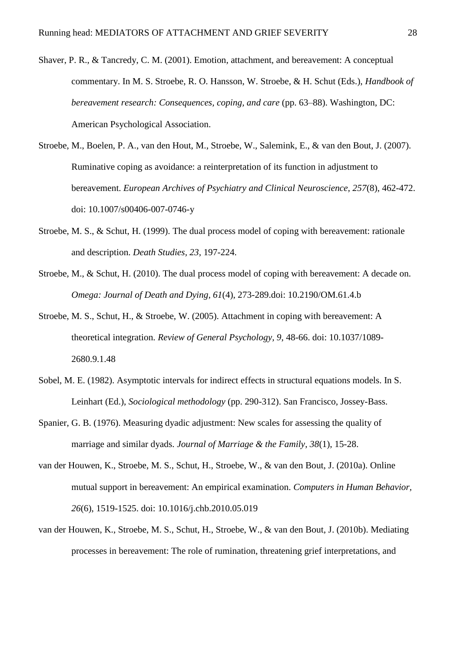- Shaver, P. R., & Tancredy, C. M. (2001). Emotion, attachment, and bereavement: A conceptual commentary. In M. S. Stroebe, R. O. Hansson, W. Stroebe, & H. Schut (Eds.), *Handbook of bereavement research: Consequences, coping, and care* (pp. 63–88). Washington, DC: American Psychological Association.
- Stroebe, M., Boelen, P. A., van den Hout, M., Stroebe, W., Salemink, E., & van den Bout, J. (2007). Ruminative coping as avoidance: a reinterpretation of its function in adjustment to bereavement. *European Archives of Psychiatry and Clinical Neuroscience, 257*(8), 462-472. doi: 10.1007/s00406-007-0746-y
- Stroebe, M. S., & Schut, H. (1999). The dual process model of coping with bereavement: rationale and description. *Death Studies, 23,* 197-224.
- Stroebe, M., & Schut, H. (2010). The dual process model of coping with bereavement: A decade on. *Omega: Journal of Death and Dying, 61*(4), 273-289.doi: 10.2190/OM.61.4.b
- Stroebe, M. S., Schut, H., & Stroebe, W. (2005). Attachment in coping with bereavement: A theoretical integration. *Review of General Psychology, 9*, 48-66. doi: 10.1037/1089- 2680.9.1.48
- Sobel, M. E. (1982). Asymptotic intervals for indirect effects in structural equations models. In S. Leinhart (Ed.), *Sociological methodology* (pp. 290-312). San Francisco, Jossey-Bass.
- Spanier, G. B. (1976). Measuring dyadic adjustment: New scales for assessing the quality of marriage and similar dyads. *Journal of Marriage & the Family*, *38*(1), 15-28.
- van der Houwen, K., Stroebe, M. S., Schut, H., Stroebe, W., & van den Bout, J. (2010a). Online mutual support in bereavement: An empirical examination. *Computers in Human Behavior, 26*(6), 1519-1525. doi: 10.1016/j.chb.2010.05.019
- van der Houwen, K., Stroebe, M. S., Schut, H., Stroebe, W., & van den Bout, J. (2010b). Mediating processes in bereavement: The role of rumination, threatening grief interpretations, and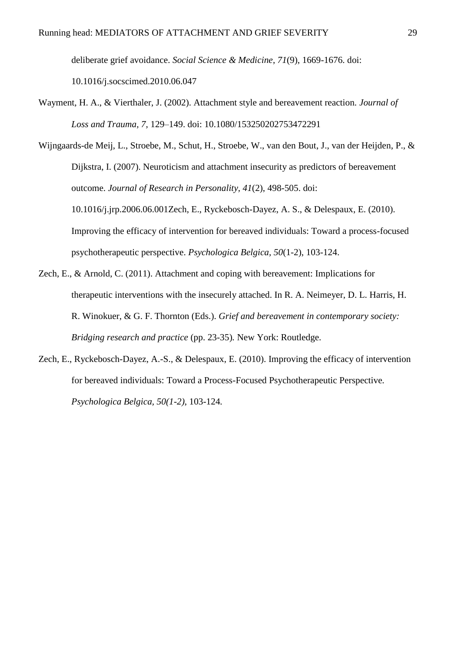deliberate grief avoidance. *Social Science & Medicine*, *71*(9), 1669-1676. doi: 10.1016/j.socscimed.2010.06.047

Wayment, H. A., & Vierthaler, J. (2002). Attachment style and bereavement reaction*. Journal of Loss and Trauma, 7,* 129–149. doi: 10.1080/153250202753472291

Wijngaards-de Meij, L., Stroebe, M., Schut, H., Stroebe, W., van den Bout, J., van der Heijden, P., & Dijkstra, I. (2007). Neuroticism and attachment insecurity as predictors of bereavement outcome. *Journal of Research in Personality, 41*(2), 498-505. doi: 10.1016/j.jrp.2006.06.001Zech, E., Ryckebosch-Dayez, A. S., & Delespaux, E. (2010). Improving the efficacy of intervention for bereaved individuals: Toward a process-focused psychotherapeutic perspective. *Psychologica Belgica, 50*(1-2), 103-124.

- Zech, E., & Arnold, C. (2011). Attachment and coping with bereavement: Implications for therapeutic interventions with the insecurely attached. In R. A. Neimeyer, D. L. Harris, H. R. Winokuer, & G. F. Thornton (Eds.). *Grief and bereavement in contemporary society: Bridging research and practice* (pp. 23-35)*.* New York: Routledge.
- Zech, E., Ryckebosch-Dayez, A.-S., & Delespaux, E. (2010). Improving the efficacy of intervention for bereaved individuals: Toward a Process-Focused Psychotherapeutic Perspective*. Psychologica Belgica, 50(1-2)*, 103-124*.*